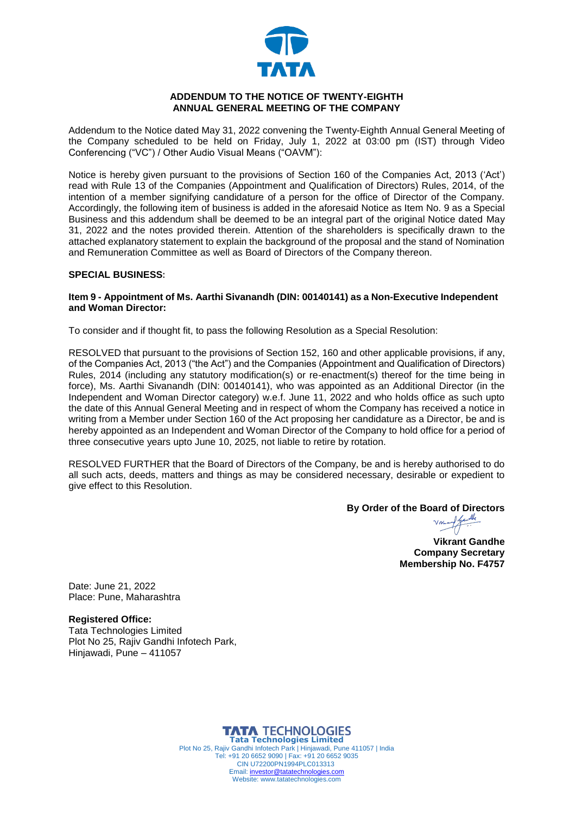

### **ADDENDUM TO THE NOTICE OF TWENTY-EIGHTH ANNUAL GENERAL MEETING OF THE COMPANY**

Addendum to the Notice dated May 31, 2022 convening the Twenty-Eighth Annual General Meeting of the Company scheduled to be held on Friday, July 1, 2022 at 03:00 pm (IST) through Video Conferencing ("VC") / Other Audio Visual Means ("OAVM"):

Notice is hereby given pursuant to the provisions of Section 160 of the Companies Act, 2013 ('Act') read with Rule 13 of the Companies (Appointment and Qualification of Directors) Rules, 2014, of the intention of a member signifying candidature of a person for the office of Director of the Company. Accordingly, the following item of business is added in the aforesaid Notice as Item No. 9 as a Special Business and this addendum shall be deemed to be an integral part of the original Notice dated May 31, 2022 and the notes provided therein. Attention of the shareholders is specifically drawn to the attached explanatory statement to explain the background of the proposal and the stand of Nomination and Remuneration Committee as well as Board of Directors of the Company thereon.

#### **SPECIAL BUSINESS:**

### **Item 9 - Appointment of Ms. Aarthi Sivanandh (DIN: 00140141) as a Non-Executive Independent and Woman Director:**

To consider and if thought fit, to pass the following Resolution as a Special Resolution:

RESOLVED that pursuant to the provisions of Section 152, 160 and other applicable provisions, if any, of the Companies Act, 2013 ("the Act") and the Companies (Appointment and Qualification of Directors) Rules, 2014 (including any statutory modification(s) or re-enactment(s) thereof for the time being in force), Ms. Aarthi Sivanandh (DIN: 00140141), who was appointed as an Additional Director (in the Independent and Woman Director category) w.e.f. June 11, 2022 and who holds office as such upto the date of this Annual General Meeting and in respect of whom the Company has received a notice in writing from a Member under Section 160 of the Act proposing her candidature as a Director, be and is hereby appointed as an Independent and Woman Director of the Company to hold office for a period of three consecutive years upto June 10, 2025, not liable to retire by rotation.

RESOLVED FURTHER that the Board of Directors of the Company, be and is hereby authorised to do all such acts, deeds, matters and things as may be considered necessary, desirable or expedient to give effect to this Resolution.

**By Order of the B[oard of Directors](https://tatatechnologies.na1.echosign.com/verifier?tx=CBJCHBCAABAA0ZJxjhBGn5jUShtyBdCYLNwdrk3TokZ8)**

Ike

**Vikrant Gandhe Company Secretary Membership No. F4757**

Date: June 21, 2022 Place: Pune, Maharashtra

**Registered Office:**

Tata Technologies Limited Plot No 25, Rajiv Gandhi Infotech Park, Hinjawadi, Pune – 411057

> **TATA TECHNOLOGIES Tata Technologies Limited** Plot No 25, Rajiv Gandhi Infotech Park | Hinjawadi, Pune 411057 | India Tel: +91 20 6652 9090 | Fax: +91 20 6652 9035 CIN U72200PN1994PLC013313 Email[: investor@tatatechnologies.com](mailto:investor@tatatechnologies.com) Website: www.tatatechnologies.com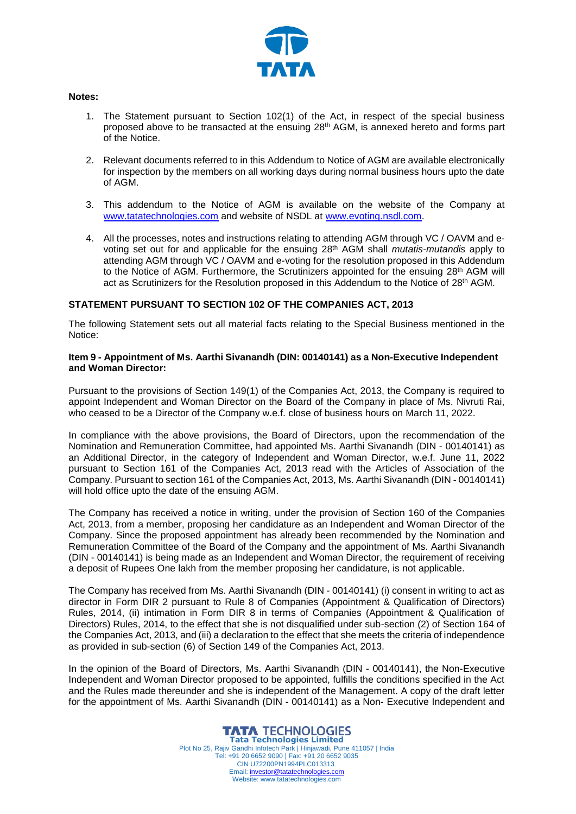

#### **Notes:**

- 1. The Statement pursuant to Section 102(1) of the Act, in respect of the special business proposed above to be transacted at the ensuing  $28<sup>th</sup>$  AGM, is annexed hereto and forms part of the Notice.
- 2. Relevant documents referred to in this Addendum to Notice of AGM are available electronically for inspection by the members on all working days during normal business hours upto the date of AGM.
- 3. This addendum to the Notice of AGM is available on the website of the Company at [www.tatatechnologies.com](http://www.tatatechnologies.com/) and website of NSDL at [www.evoting.nsdl.com.](http://www.evoting.nsdl.com/)
- 4. All the processes, notes and instructions relating to attending AGM through VC / OAVM and evoting set out for and applicable for the ensuing 28th AGM shall *mutatis-mutandis* apply to attending AGM through VC / OAVM and e-voting for the resolution proposed in this Addendum to the Notice of AGM. Furthermore, the Scrutinizers appointed for the ensuing 28<sup>th</sup> AGM will act as Scrutinizers for the Resolution proposed in this Addendum to the Notice of 28<sup>th</sup> AGM.

# **STATEMENT PURSUANT TO SECTION 102 OF THE COMPANIES ACT, 2013**

The following Statement sets out all material facts relating to the Special Business mentioned in the Notice:

#### **Item 9 - Appointment of Ms. Aarthi Sivanandh (DIN: 00140141) as a Non-Executive Independent and Woman Director:**

Pursuant to the provisions of Section 149(1) of the Companies Act, 2013, the Company is required to appoint Independent and Woman Director on the Board of the Company in place of Ms. Nivruti Rai, who ceased to be a Director of the Company w.e.f. close of business hours on March 11, 2022.

In compliance with the above provisions, the Board of Directors, upon the recommendation of the Nomination and Remuneration Committee, had appointed Ms. Aarthi Sivanandh (DIN - 00140141) as an Additional Director, in the category of Independent and Woman Director, w.e.f. June 11, 2022 pursuant to Section 161 of the Companies Act, 2013 read with the Articles of Association of the Company. Pursuant to section 161 of the Companies Act, 2013, Ms. Aarthi Sivanandh (DIN - 00140141) will hold office upto the date of the ensuing AGM.

The Company has received a notice in writing, under the provision of Section 160 of the Companies Act, 2013, from a member, proposing her candidature as an Independent and Woman Director of the Company. Since the proposed appointment has already been recommended by the Nomination and Remuneration Committee of the Board of the Company and the appointment of Ms. Aarthi Sivanandh (DIN - 00140141) is being made as an Independent and Woman Director, the requirement of receiving a deposit of Rupees One lakh from the member proposing her candidature, is not applicable.

The Company has received from Ms. Aarthi Sivanandh (DIN - 00140141) (i) consent in writing to act as director in Form DIR 2 pursuant to Rule 8 of Companies (Appointment & Qualification of Directors) Rules, 2014, (ii) intimation in Form DIR 8 in terms of Companies (Appointment & Qualification of Directors) Rules, 2014, to the effect that she is not disqualified under sub-section (2) of Section 164 of the Companies Act, 2013, and (iii) a declaration to the effect that she meets the criteria of independence as provided in sub-section (6) of Section 149 of the Companies Act, 2013.

In the opinion of the Board of Directors, Ms. Aarthi Sivanandh (DIN - 00140141), the Non-Executive Independent and Woman Director proposed to be appointed, fulfills the conditions specified in the Act and the Rules made thereunder and she is independent of the Management. A copy of the draft letter for the appointment of Ms. Aarthi Sivanandh (DIN - 00140141) as a Non- Executive Independent and

> **TATA TECHNOLOGIES Tata Technologies Limited** Plot No 25, Rajiv Gandhi Infotech Park | Hinjawadi, Pune 411057 | India Tel: +91 20 6652 9090 | Fax: +91 20 6652 9035 CIN U72200PN1994PLC013313 Email[: investor@tatatechnologies.com](mailto:investor@tatatechnologies.com) Website: www.tatatechnologies.com